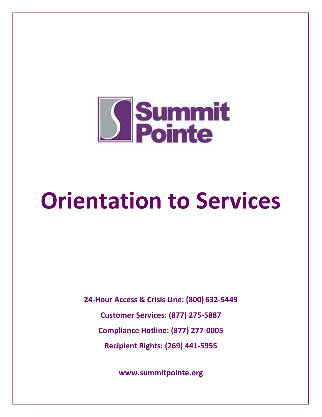

# **Orientation to Services**

**24-Hour Access & Crisis Line: (800) 632-5449 Customer Services: (877) 275-5887 Compliance Hotline: (877) 277-0005 Recipient Rights: (269) 441-5955**

**www.summitpointe.org**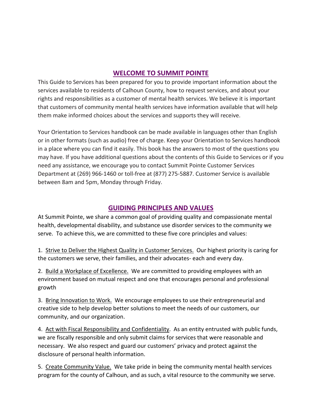# **WELCOME TO SUMMIT POINTE**

This Guide to Services has been prepared for you to provide important information about the services available to residents of Calhoun County, how to request services, and about your rights and responsibilities as a customer of mental health services. We believe it is important that customers of community mental health services have information available that will help them make informed choices about the services and supports they will receive.

Your Orientation to Services handbook can be made available in languages other than English or in other formats (such as audio) free of charge. Keep your Orientation to Services handbook in a place where you can find it easily. This book has the answers to most of the questions you may have. If you have additional questions about the contents of this Guide to Services or if you need any assistance, we encourage you to contact Summit Pointe Customer Services Department at (269) 966-1460 or toll-free at (877) 275-5887. Customer Service is available between 8am and 5pm, Monday through Friday.

# **GUIDING PRINCIPLES AND VALUES**

At Summit Pointe, we share a common goal of providing quality and compassionate mental health, developmental disability, and substance use disorder services to the community we serve. To achieve this, we are committed to these five core principles and values:

1. Strive to Deliver the Highest Quality in Customer Services. Our highest priority is caring for the customers we serve, their families, and their advocates- each and every day.

2. Build a Workplace of Excellence. We are committed to providing employees with an environment based on mutual respect and one that encourages personal and professional growth

3. Bring Innovation to Work. We encourage employees to use their entrepreneurial and creative side to help develop better solutions to meet the needs of our customers, our community, and our organization.

4. Act with Fiscal Responsibility and Confidentiality. As an entity entrusted with public funds, we are fiscally responsible and only submit claims for services that were reasonable and necessary. We also respect and guard our customers' privacy and protect against the disclosure of personal health information.

5. Create Community Value. We take pride in being the community mental health services program for the county of Calhoun, and as such, a vital resource to the community we serve.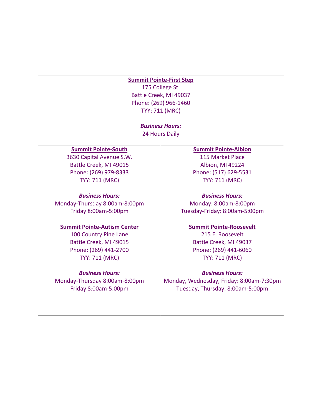#### **Summit Pointe-First Step**

175 College St. Battle Creek, MI 49037 Phone: (269) 966-1460 TYY: 711 (MRC)

> *Business Hours:*  24 Hours Daily

#### **Summit Pointe-South**

3630 Capital Avenue S.W. Battle Creek, MI 49015 Phone: (269) 979-8333 TYY: 711 (MRC)

*Business Hours:* Monday-Thursday 8:00am-8:00pm Friday 8:00am-5:00pm

## **Summit Pointe-Autism Center**

100 Country Pine Lane Battle Creek, MI 49015 Phone: (269) 441-2700 TYY: 711 (MRC)

*Business Hours:* Monday-Thursday 8:00am-8:00pm

Friday 8:00am-5:00pm

#### **Summit Pointe-Albion**

115 Market Place Albion, MI 49224 Phone: (517) 629-5531 TYY: 711 (MRC)

*Business Hours:* Monday: 8:00am-8:00pm Tuesday-Friday: 8:00am-5:00pm

#### **Summit Pointe-Roosevelt**

215 E. Roosevelt Battle Creek, MI 49037 Phone: (269) 441-6060 TYY: 711 (MRC)

*Business Hours:*

Monday, Wednesday, Friday: 8:00am-7:30pm Tuesday, Thursday: 8:00am-5:00pm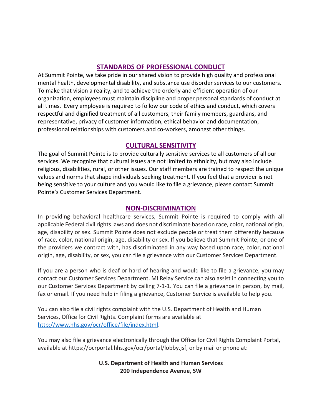# **STANDARDS OF PROFESSIONAL CONDUCT**

At Summit Pointe, we take pride in our shared vision to provide high quality and professional mental health, developmental disability, and substance use disorder services to our customers. To make that vision a reality, and to achieve the orderly and efficient operation of our organization, employees must maintain discipline and proper personal standards of conduct at all times. Every employee is required to follow our code of ethics and conduct, which covers respectful and dignified treatment of all customers, their family members, guardians, and representative, privacy of customer information, ethical behavior and documentation, professional relationships with customers and co-workers, amongst other things.

# **CULTURAL SENSITIVITY**

The goal of Summit Pointe is to provide culturally sensitive services to all customers of all our services. We recognize that cultural issues are not limited to ethnicity, but may also include religious, disabilities, rural, or other issues. Our staff members are trained to respect the unique values and norms that shape individuals seeking treatment. If you feel that a provider is not being sensitive to your culture and you would like to file a grievance, please contact Summit Pointe's Customer Services Department.

## **NON-DISCRIMINATION**

In providing behavioral healthcare services, Summit Pointe is required to comply with all applicable Federal civil rights laws and does not discriminate based on race, color, national origin, age, disability or sex. Summit Pointe does not exclude people or treat them differently because of race, color, national origin, age, disability or sex. If you believe that Summit Pointe, or one of the providers we contract with, has discriminated in any way based upon race, color, national origin, age, disability, or sex, you can file a grievance with our Customer Services Department.

If you are a person who is deaf or hard of hearing and would like to file a grievance, you may contact our Customer Services Department. MI Relay Service can also assist in connecting you to our Customer Services Department by calling 7-1-1. You can file a grievance in person, by mail, fax or email. If you need help in filing a grievance, Customer Service is available to help you.

You can also file a civil rights complaint with the U.S. Department of Health and Human Services, Office for Civil Rights. Complaint forms are available at [http://www.hhs.gov/ocr/office/file/index.html.](http://www.hhs.gov/ocr/office/file/index.html)

You may also file a grievance electronically through the Office for Civil Rights Complaint Portal, available at https://ocrportal.hhs.gov/ocr/portal/lobby.jsf, or by mail or phone at:

## **U.S. Department of Health and Human Services 200 Independence Avenue, SW**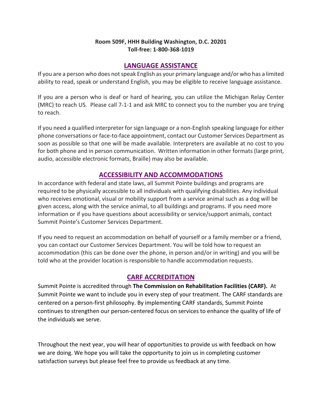## **Room 509F, HHH Building Washington, D.C. 20201 Toll-free: 1-800-368-1019**

## **LANGUAGE ASSISTANCE**

If you are a person who does not speak English as your primary language and/or who has a limited ability to read, speak or understand English, you may be eligible to receive language assistance.

If you are a person who is deaf or hard of hearing, you can utilize the Michigan Relay Center (MRC) to reach US. Please call 7-1-1 and ask MRC to connect you to the number you are trying to reach.

If you need a qualified interpreter for sign language or a non-English speaking language for either phone conversations or face-to-face appointment, contact our Customer Services Department as soon as possible so that one will be made available. Interpreters are available at no cost to you for both phone and in person communication. Written information in other formats (large print, audio, accessible electronic formats, Braille) may also be available.

# **ACCESSIBILITY AND ACCOMMODATIONS**

In accordance with federal and state laws, all Summit Pointe buildings and programs are required to be physically accessible to all individuals with qualifying disabilities. Any individual who receives emotional, visual or mobility support from a service animal such as a dog will be given access, along with the service animal, to all buildings and programs. If you need more information or if you have questions about accessibility or service/support animals, contact Summit Pointe's Customer Services Department.

If you need to request an accommodation on behalf of yourself or a family member or a friend, you can contact our Customer Services Department. You will be told how to request an accommodation (this can be done over the phone, in person and/or in writing) and you will be told who at the provider location is responsible to handle accommodation requests.

# **CARF ACCREDITATION**

Summit Pointe is accredited through **The Commission on Rehabilitation Facilities (CARF).** At Summit Pointe we want to include you in every step of your treatment. The CARF standards are centered on a person-first philosophy. By implementing CARF standards, Summit Pointe continues to strengthen our person-centered focus on services to enhance the quality of life of the individuals we serve.

Throughout the next year, you will hear of opportunities to provide us with feedback on how we are doing. We hope you will take the opportunity to join us in completing customer satisfaction surveys but please feel free to provide us feedback at any time.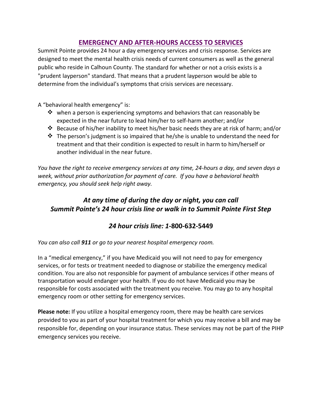# **EMERGENCY AND AFTER-HOURS ACCESS TO SERVICES**

Summit Pointe provides 24 hour a day emergency services and crisis response. Services are designed to meet the mental health crisis needs of current consumers as well as the general public who reside in Calhoun County. The standard for whether or not a crisis exists is a "prudent layperson" standard. That means that a prudent layperson would be able to determine from the individual's symptoms that crisis services are necessary.

A "behavioral health emergency" is:

- $\mathbf{\hat{*}}$  when a person is experiencing symptoms and behaviors that can reasonably be expected in the near future to lead him/her to self-harm another; and/or
- $\mathbf{\hat{P}}$  Because of his/her inability to meet his/her basic needs they are at risk of harm; and/or
- $\mathbf{\hat{P}}$  The person's judgment is so impaired that he/she is unable to understand the need for treatment and that their condition is expected to result in harm to him/herself or another individual in the near future.

*You have the right to receive emergency services at any time, 24-hours a day, and seven days a week, without prior authorization for payment of care. If you have a behavioral health emergency, you should seek help right away.* 

# *At any time of during the day or night, you can call Summit Pointe's 24 hour crisis line or walk in to Summit Pointe First Step*

# *24 hour crisis line: 1***-800-632-5449**

*You can also call 911 or go to your nearest hospital emergency room.*

In a "medical emergency," if you have Medicaid you will not need to pay for emergency services, or for tests or treatment needed to diagnose or stabilize the emergency medical condition. You are also not responsible for payment of ambulance services if other means of transportation would endanger your health. If you do not have Medicaid you may be responsible for costs associated with the treatment you receive. You may go to any hospital emergency room or other setting for emergency services.

**Please note:** If you utilize a hospital emergency room, there may be health care services provided to you as part of your hospital treatment for which you may receive a bill and may be responsible for, depending on your insurance status. These services may not be part of the PIHP emergency services you receive.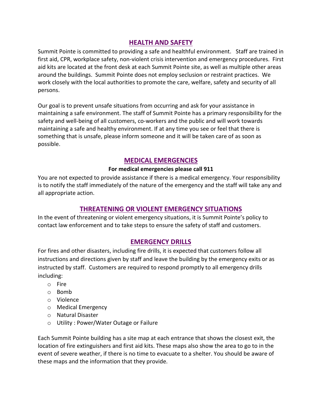# **HEALTH AND SAFETY**

Summit Pointe is committed to providing a safe and healthful environment. Staff are trained in first aid, CPR, workplace safety, non-violent crisis intervention and emergency procedures. First aid kits are located at the front desk at each Summit Pointe site, as well as multiple other areas around the buildings. Summit Pointe does not employ seclusion or restraint practices. We work closely with the local authorities to promote the care, welfare, safety and security of all persons.

Our goal is to prevent unsafe situations from occurring and ask for your assistance in maintaining a safe environment. The staff of Summit Pointe has a primary responsibility for the safety and well-being of all customers, co-workers and the public and will work towards maintaining a safe and healthy environment. If at any time you see or feel that there is something that is unsafe, please inform someone and it will be taken care of as soon as possible.

# **MEDICAL EMERGENCIES**

## **For medical emergencies please call 911**

You are not expected to provide assistance if there is a medical emergency. Your responsibility is to notify the staff immediately of the nature of the emergency and the staff will take any and all appropriate action.

# **THREATENING OR VIOLENT EMERGENCY SITUATIONS**

In the event of threatening or violent emergency situations, it is Summit Pointe's policy to contact law enforcement and to take steps to ensure the safety of staff and customers.

# **EMERGENCY DRILLS**

For fires and other disasters, including fire drills, it is expected that customers follow all instructions and directions given by staff and leave the building by the emergency exits or as instructed by staff. Customers are required to respond promptly to all emergency drills including:

- o Fire
- o Bomb
- o Violence
- o Medical Emergency
- o Natural Disaster
- o Utility : Power/Water Outage or Failure

Each Summit Pointe building has a site map at each entrance that shows the closest exit, the location of fire extinguishers and first aid kits. These maps also show the area to go to in the event of severe weather, if there is no time to evacuate to a shelter. You should be aware of these maps and the information that they provide.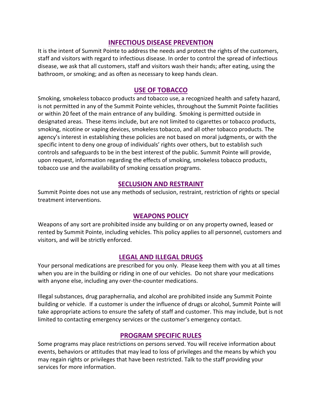## **INFECTIOUS DISEASE PREVENTION**

It is the intent of Summit Pointe to address the needs and protect the rights of the customers, staff and visitors with regard to infectious disease. In order to control the spread of infectious disease, we ask that all customers, staff and visitors wash their hands; after eating, using the bathroom, or smoking; and as often as necessary to keep hands clean.

## **USE OF TOBACCO**

Smoking, smokeless tobacco products and tobacco use, a recognized health and safety hazard, is not permitted in any of the Summit Pointe vehicles, throughout the Summit Pointe facilities or within 20 feet of the main entrance of any building. Smoking is permitted outside in designated areas. These items include, but are not limited to cigarettes or tobacco products, smoking, nicotine or vaping devices, smokeless tobacco, and all other tobacco products. The agency's interest in establishing these policies are not based on moral judgments, or with the specific intent to deny one group of individuals' rights over others, but to establish such controls and safeguards to be in the best interest of the public. Summit Pointe will provide, upon request, information regarding the effects of smoking, smokeless tobacco products, tobacco use and the availability of smoking cessation programs.

## **SECLUSION AND RESTRAINT**

Summit Pointe does not use any methods of seclusion, restraint, restriction of rights or special treatment interventions.

## **WEAPONS POLICY**

Weapons of any sort are prohibited inside any building or on any property owned, leased or rented by Summit Pointe, including vehicles. This policy applies to all personnel, customers and visitors, and will be strictly enforced.

# **LEGAL AND ILLEGAL DRUGS**

Your personal medications are prescribed for you only. Please keep them with you at all times when you are in the building or riding in one of our vehicles. Do not share your medications with anyone else, including any over-the-counter medications.

Illegal substances, drug paraphernalia, and alcohol are prohibited inside any Summit Pointe building or vehicle. If a customer is under the influence of drugs or alcohol, Summit Pointe will take appropriate actions to ensure the safety of staff and customer. This may include, but is not limited to contacting emergency services or the customer's emergency contact.

# **PROGRAM SPECIFIC RULES**

Some programs may place restrictions on persons served. You will receive information about events, behaviors or attitudes that may lead to loss of privileges and the means by which you may regain rights or privileges that have been restricted. Talk to the staff providing your services for more information.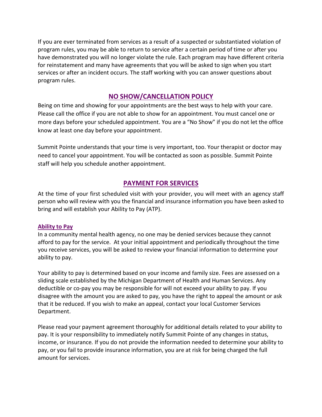If you are ever terminated from services as a result of a suspected or substantiated violation of program rules, you may be able to return to service after a certain period of time or after you have demonstrated you will no longer violate the rule. Each program may have different criteria for reinstatement and many have agreements that you will be asked to sign when you start services or after an incident occurs. The staff working with you can answer questions about program rules.

# **NO SHOW/CANCELLATION POLICY**

Being on time and showing for your appointments are the best ways to help with your care. Please call the office if you are not able to show for an appointment. You must cancel one or more days before your scheduled appointment. You are a "No Show" if you do not let the office know at least one day before your appointment.

Summit Pointe understands that your time is very important, too. Your therapist or doctor may need to cancel your appointment. You will be contacted as soon as possible. Summit Pointe staff will help you schedule another appointment.

# **PAYMENT FOR SERVICES**

At the time of your first scheduled visit with your provider, you will meet with an agency staff person who will review with you the financial and insurance information you have been asked to bring and will establish your Ability to Pay (ATP).

## **Ability to Pay**

In a community mental health agency, no one may be denied services because they cannot afford to pay for the service. At your initial appointment and periodically throughout the time you receive services, you will be asked to review your financial information to determine your ability to pay.

Your ability to pay is determined based on your income and family size. Fees are assessed on a sliding scale established by the Michigan Department of Health and Human Services. Any deductible or co-pay you may be responsible for will not exceed your ability to pay. If you disagree with the amount you are asked to pay, you have the right to appeal the amount or ask that it be reduced. If you wish to make an appeal, contact your local Customer Services Department.

Please read your payment agreement thoroughly for additional details related to your ability to pay**.** It is your responsibility to immediately notify Summit Pointe of any changes in status, income, or insurance*.* If you do not provide the information needed to determine your ability to pay, or you fail to provide insurance information, you are at risk for being charged the full amount for services.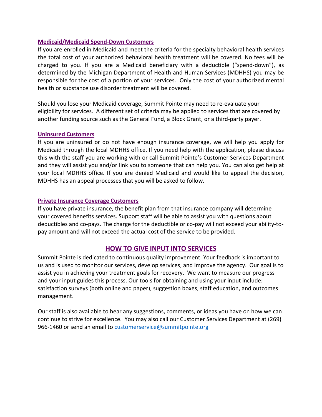#### **Medicaid/Medicaid Spend-Down Customers**

If you are enrolled in Medicaid and meet the criteria for the specialty behavioral health services the total cost of your authorized behavioral health treatment will be covered. No fees will be charged to you. If you are a Medicaid beneficiary with a deductible ("spend-down"), as determined by the Michigan Department of Health and Human Services (MDHHS) you may be responsible for the cost of a portion of your services. Only the cost of your authorized mental health or substance use disorder treatment will be covered.

Should you lose your Medicaid coverage, Summit Pointe may need to re-evaluate your eligibility for services. A different set of criteria may be applied to services that are covered by another funding source such as the General Fund, a Block Grant, or a third-party payer.

#### **Uninsured Customers**

If you are uninsured or do not have enough insurance coverage, we will help you apply for Medicaid through the local MDHHS office. If you need help with the application, please discuss this with the staff you are working with or call Summit Pointe's Customer Services Department and they will assist you and/or link you to someone that can help you. You can also get help at your local MDHHS office. If you are denied Medicaid and would like to appeal the decision, MDHHS has an appeal processes that you will be asked to follow.

#### **Private Insurance Coverage Customers**

If you have private insurance, the benefit plan from that insurance company will determine your covered benefits services. Support staff will be able to assist you with questions about deductibles and co-pays. The charge for the deductible or co-pay will not exceed your ability-topay amount and will not exceed the actual cost of the service to be provided.

# **HOW TO GIVE INPUT INTO SERVICES**

Summit Pointe is dedicated to continuous quality improvement. Your feedback is important to us and is used to monitor our services, develop services, and improve the agency. Our goal is to assist you in achieving your treatment goals for recovery. We want to measure our progress and your input guides this process. Our tools for obtaining and using your input include: satisfaction surveys (both online and paper), suggestion boxes, staff education, and outcomes management.

Our staff is also available to hear any suggestions, comments, or ideas you have on how we can continue to strive for excellence. You may also call our Customer Services Department at (269) 966-1460 or send an email t[o customerservice@summitpointe.org](mailto:customerservice@summitpointe.org)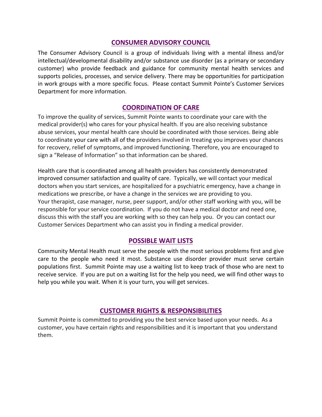# **CONSUMER ADVISORY COUNCIL**

The Consumer Advisory Council is a group of individuals living with a mental illness and/or intellectual/developmental disability and/or substance use disorder (as a primary or secondary customer) who provide feedback and guidance for community mental health services and supports policies, processes, and service delivery. There may be opportunities for participation in work groups with a more specific focus. Please contact Summit Pointe's Customer Services Department for more information.

## **COORDINATION OF CARE**

To improve the quality of services, Summit Pointe wants to coordinate your care with the medical provider(s) who cares for your physical health. If you are also receiving substance abuse services, your mental health care should be coordinated with those services. Being able to coordinate your care with all of the providers involved in treating you improves your chances for recovery, relief of symptoms, and improved functioning. Therefore, you are encouraged to sign a "Release of Information" so that information can be shared.

Health care that is coordinated among all health providers has consistently demonstrated improved consumer satisfaction and quality of care. Typically, we will contact your medical doctors when you start services, are hospitalized for a psychiatric emergency, have a change in medications we prescribe, or have a change in the services we are providing to you. Your therapist, case manager, nurse, peer support, and/or other staff working with you, will be responsible for your service coordination. If you do not have a medical doctor and need one, discuss this with the staff you are working with so they can help you. Or you can contact our Customer Services Department who can assist you in finding a medical provider.

## **POSSIBLE WAIT LISTS**

Community Mental Health must serve the people with the most serious problems first and give care to the people who need it most. Substance use disorder provider must serve certain populations first. Summit Pointe may use a waiting list to keep track of those who are next to receive service. If you are put on a waiting list for the help you need, we will find other ways to help you while you wait. When it is your turn, you will get services.

## **CUSTOMER RIGHTS & RESPONSIBILITIES**

Summit Pointe is committed to providing you the best service based upon your needs. As a customer, you have certain rights and responsibilities and it is important that you understand them.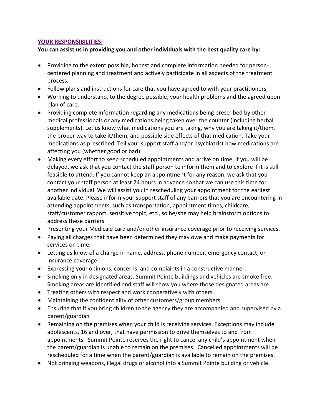#### **YOUR RESPONSIBILITIES:**

## **You can assist us in providing you and other individuals with the best quality care by:**

- Providing to the extent possible, honest and complete information needed for personcentered planning and treatment and actively participate in all aspects of the treatment process.
- Follow plans and instructions for care that you have agreed to with your practitioners.
- Working to understand, to the degree possible, your health problems and the agreed upon plan of care.
- Providing complete information regarding any medications being prescribed by other medical professionals or any medications being taken over the counter (including herbal supplements). Let us know what medications you are taking, why you are taking it/them, the proper way to take it/them, and possible side effects of that medication. Take your medications as prescribed. Tell your support staff and/or psychiatrist how medications are affecting you (whether good or bad)
- Making every effort to keep scheduled appointments and arrive on time. If you will be delayed, we ask that you contact the staff person to inform them and to explore if it is still feasible to attend. If you cannot keep an appointment for any reason, we ask that you contact your staff person at least 24 hours in advance so that we can use this time for another individual. We will assist you in rescheduling your appointment for the earliest available date. Please inform your support staff of any barriers that you are encountering in attending appointments, such as transportation, appointment times, childcare, staff/customer rapport, sensitive topic, etc., so he/she may help brainstorm options to address these barriers
- Presenting your Medicaid card and/or other insurance coverage prior to receiving services.
- Paying all charges that have been determined they may owe and make payments for services on time.
- Letting us know of a change in name, address, phone number, emergency contact, or insurance coverage
- Expressing your opinions, concerns, and complaints in a constructive manner.
- Smoking only in designated areas. Summit Pointe buildings and vehicles are smoke free. Smoking areas are identified and staff will show you where those designated areas are.
- Treating others with respect and work cooperatively with others.
- Maintaining the confidentiality of other customers/group members
- Ensuring that if you bring children to the agency they are accompanied and supervised by a parent/guardian
- Remaining on the premises when your child is receiving services. Exceptions may include adolescents, 16 and over, that have permission to drive themselves to and from appointments. Summit Pointe reserves the right to cancel any child's appointment when the parent/guardian is unable to remain on the premises. Cancelled appointments will be rescheduled for a time when the parent/guardian is available to remain on the premises.
- Not bringing weapons, illegal drugs or alcohol into a Summit Pointe building or vehicle.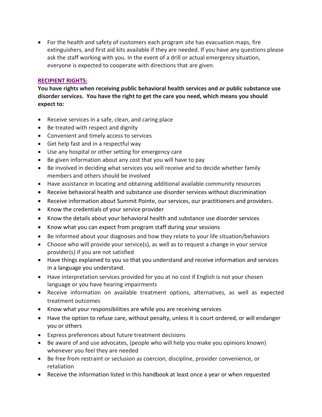• For the health and safety of customers each program site has evacuation maps, fire extinguishers, and first aid kits available if they are needed. If you have any questions please ask the staff working with you. In the event of a drill or actual emergency situation, everyone is expected to cooperate with directions that are given.

## **RECIPIENT RIGHTS:**

**You have rights when receiving public behavioral health services and or public substance use disorder services. You have the right to get the care you need, which means you should expect to:** 

- Receive services in a safe, clean, and caring place
- Be treated with respect and dignity
- Convenient and timely access to services
- Get help fast and in a respectful way
- Use any hospital or other setting for emergency care
- Be given information about any cost that you will have to pay
- Be involved in deciding what services you will receive and to decide whether family members and others should be involved
- Have assistance in locating and obtaining additional available community resources
- Receive behavioral health and substance use disorder services without discrimination
- Receive information about Summit Pointe, our services, our practitioners and providers.
- Know the credentials of your service provider
- Know the details about your behavioral health and substance use disorder services
- Know what you can expect from program staff during your sessions
- Be informed about your diagnoses and how they relate to your life situation/behaviors
- Choose who will provide your service(s), as well as to request a change in your service provider(s) if you are not satisfied
- Have things explained to you so that you understand and receive information and services in a language you understand.
- Have interpretation services provided for you at no cost if English is not your chosen language or you have hearing impairments
- Receive information on available treatment options, alternatives, as well as expected treatment outcomes
- Know what your responsibilities are while you are receiving services
- Have the option to refuse care, without penalty, unless it is court ordered, or will endanger you or others
- Express preferences about future treatment decisions
- Be aware of and use advocates, (people who will help you make you opinions known) whenever you feel they are needed
- Be free from restraint or seclusion as coercion, discipline, provider convenience, or retaliation
- Receive the information listed in this handbook at least once a year or when requested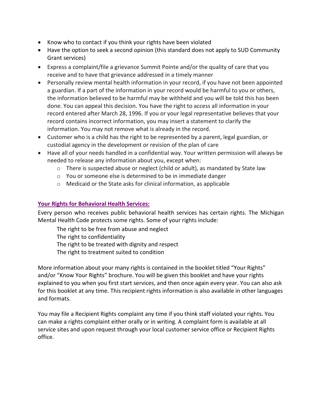- Know who to contact if you think your rights have been violated
- Have the option to seek a second opinion (this standard does not apply to SUD Community Grant services)
- Express a complaint/file a grievance Summit Pointe and/or the quality of care that you receive and to have that grievance addressed in a timely manner
- Personally review mental health information in your record, if you have not been appointed a guardian. If a part of the information in your record would be harmful to you or others, the information believed to be harmful may be withheld and you will be told this has been done. You can appeal this decision. You have the right to access all information in your record entered after March 28, 1996. If you or your legal representative believes that your record contains incorrect information, you may insert a statement to clarify the information. You may not remove what is already in the record.
- Customer who is a child has the right to be represented by a parent, legal guardian, or custodial agency in the development or revision of the plan of care
- Have all of your needs handled in a confidential way. Your written permission will always be needed to release any information about you, except when:
	- o There is suspected abuse or neglect (child or adult), as mandated by State law
	- o You or someone else is determined to be in immediate danger
	- o Medicaid or the State asks for clinical information, as applicable

## **Your Rights for Behavioral Health Services:**

Every person who receives public behavioral health services has certain rights. The Michigan Mental Health Code protects some rights. Some of your rights include:

The right to be free from abuse and neglect The right to confidentiality

The right to be treated with dignity and respect

The right to treatment suited to condition

More information about your many rights is contained in the booklet titled "Your Rights" and/or "Know Your Rights" brochure. You will be given this booklet and have your rights explained to you when you first start services, and then once again every year. You can also ask for this booklet at any time. This recipient rights information is also available in other languages and formats.

You may file a Recipient Rights complaint any time if you think staff violated your rights. You can make a rights complaint either orally or in writing. A complaint form is available at all service sites and upon request through your local customer service office or Recipient Rights office.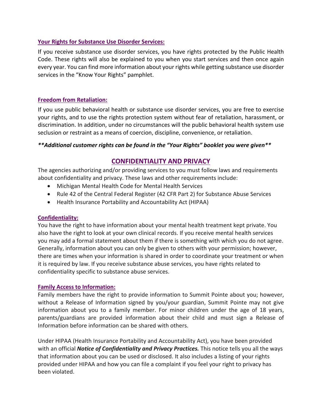#### **Your Rights for Substance Use Disorder Services:**

If you receive substance use disorder services, you have rights protected by the Public Health Code. These rights will also be explained to you when you start services and then once again every year. You can find more information about your rights while getting substance use disorder services in the "Know Your Rights" pamphlet.

#### **Freedom from Retaliation:**

If you use public behavioral health or substance use disorder services, you are free to exercise your rights, and to use the rights protection system without fear of retaliation, harassment, or discrimination. In addition, under no circumstances will the public behavioral health system use seclusion or restraint as a means of coercion, discipline, convenience, or retaliation.

#### *\*\*Additional customer rights can be found in the "Your Rights" booklet you were given\*\**

# **CONFIDENTIALITY AND PRIVACY**

The agencies authorizing and/or providing services to you must follow laws and requirements about confidentiality and privacy. These laws and other requirements include:

- Michigan Mental Health Code for Mental Health Services
- Rule 42 of the Central Federal Register (42 CFR Part 2) for Substance Abuse Services
- Health Insurance Portability and Accountability Act (HIPAA)

#### **Confidentiality:**

You have the right to have information about your mental health treatment kept private. You also have the right to look at your own clinical records. If you receive mental health services you may add a formal statement about them if there is something with which you do not agree. Generally, information about you can only be given to others with your permission; however, there are times when your information is shared in order to coordinate your treatment or when it is required by law. If you receive substance abuse services, you have rights related to confidentiality specific to substance abuse services.

#### **Family Access to Information:**

Family members have the right to provide information to Summit Pointe about you; however, without a Release of Information signed by you/your guardian, Summit Pointe may not give information about you to a family member. For minor children under the age of 18 years, parents/guardians are provided information about their child and must sign a Release of Information before information can be shared with others.

Under HIPAA (Health Insurance Portability and Accountability Act), you have been provided with an official *Notice of Confidentiality and Privacy Practices.* This notice tells you all the ways that information about you can be used or disclosed. It also includes a listing of your rights provided under HIPAA and how you can file a complaint if you feel your right to privacy has been violated.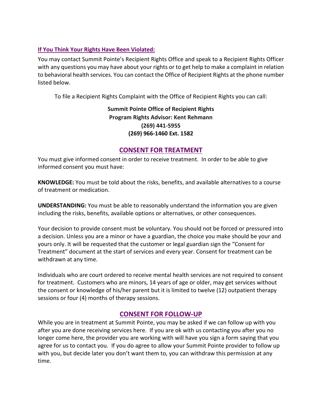## **If You Think Your Rights Have Been Violated:**

You may contact Summit Pointe's Recipient Rights Office and speak to a Recipient Rights Officer with any questions you may have about your rights or to get help to make a complaint in relation to behavioral health services. You can contact the Office of Recipient Rights at the phone number listed below.

To file a Recipient Rights Complaint with the Office of Recipient Rights you can call:

**Summit Pointe Office of Recipient Rights Program Rights Advisor: Kent Rehmann (269) 441-5955 (269) 966-1460 Ext. 1582**

# **CONSENT FOR TREATMENT**

You must give informed consent in order to receive treatment. In order to be able to give informed consent you must have:

**KNOWLEDGE:** You must be told about the risks, benefits, and available alternatives to a course of treatment or medication.

**UNDERSTANDING:** You must be able to reasonably understand the information you are given including the risks, benefits, available options or alternatives, or other consequences.

Your decision to provide consent must be voluntary. You should not be forced or pressured into a decision. Unless you are a minor or have a guardian, the choice you make should be your and yours only. It will be requested that the customer or legal guardian sign the "Consent for Treatment" document at the start of services and every year. Consent for treatment can be withdrawn at any time.

Individuals who are court ordered to receive mental health services are not required to consent for treatment. Customers who are minors, 14 years of age or older, may get services without the consent or knowledge of his/her parent but it is limited to twelve (12) outpatient therapy sessions or four (4) months of therapy sessions.

# **CONSENT FOR FOLLOW-UP**

While you are in treatment at Summit Pointe, you may be asked if we can follow up with you after you are done receiving services here. If you are ok with us contacting you after you no longer come here, the provider you are working with will have you sign a form saying that you agree for us to contact you. If you do agree to allow your Summit Pointe provider to follow up with you, but decide later you don't want them to, you can withdraw this permission at any time.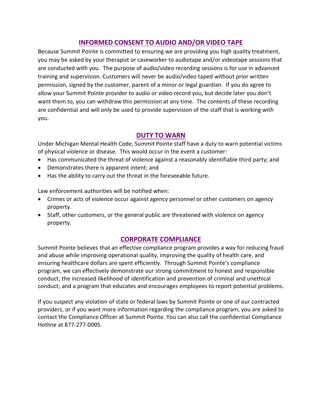# **INFORMED CONSENT TO AUDIO AND/OR VIDEO TAPE**

Because Summit Pointe is committed to ensuring we are providing you high quality treatment, you may be asked by your therapist or caseworker to audiotape and/or videotape sessions that are conducted with you. The purpose of audio/video recording sessions is for use in advanced training and supervision. Customers will never be audio/video taped without prior written permission, signed by the customer, parent of a minor or legal guardian. If you do agree to allow your Summit Pointe provider to audio or video record you, but decide later you don't want them to, you can withdraw this permission at any time. The contents of these recording are confidential and will only be used to provide supervision of the staff that is working with you.

# **DUTY TO WARN**

Under Michigan Mental Health Code, Summit Pointe staff have a duty to warn potential victims of physical violence or disease. This would occur in the event a customer:

- Has communicated the threat of violence against a reasonably identifiable third party; and
- Demonstrates there is apparent intent; and
- Has the ability to carry out the threat in the foreseeable future.

Law enforcement authorities will be notified when:

- Crimes or acts of violence occur against agency personnel or other customers on agency property.
- Staff, other customers, or the general public are threatened with violence on agency property.

# **CORPORATE COMPLIANCE**

Summit Pointe believes that an effective compliance program provides a way for reducing fraud and abuse while improving operational quality, improving the quality of health care, and ensuring healthcare dollars are spent efficiently. Through Summit Pointe's compliance program, we can effectively demonstrate our strong commitment to honest and responsible conduct; the increased likelihood of identification and prevention of criminal and unethical conduct; and a program that educates and encourages employees to report potential problems.

If you suspect any violation of state or federal laws by Summit Pointe or one of our contracted providers, or if you want more information regarding the compliance program, you are asked to contact the Compliance Officer at Summit Pointe. You can also call the confidential Compliance Hotline at 877-277-0005.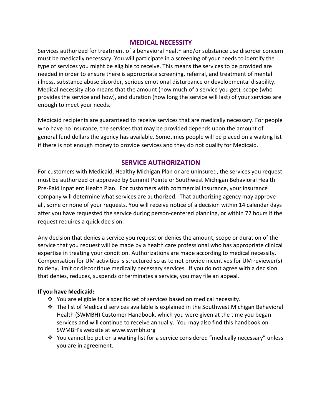## **MEDICAL NECESSITY**

Services authorized for treatment of a behavioral health and/or substance use disorder concern must be medically necessary. You will participate in a screening of your needs to identify the type of services you might be eligible to receive. This means the services to be provided are needed in order to ensure there is appropriate screening, referral, and treatment of mental illness, substance abuse disorder, serious emotional disturbance or developmental disability. Medical necessity also means that the amount (how much of a service you get), scope (who provides the service and how), and duration (how long the service will last) of your services are enough to meet your needs.

Medicaid recipients are guaranteed to receive services that are medically necessary. For people who have no insurance, the services that may be provided depends upon the amount of general fund dollars the agency has available. Sometimes people will be placed on a waiting list if there is not enough money to provide services and they do not qualify for Medicaid.

## **SERVICE AUTHORIZATION**

For customers with Medicaid, Healthy Michigan Plan or are uninsured, the services you request must be authorized or approved by Summit Pointe or Southwest Michigan Behavioral Health Pre-Paid Inpatient Health Plan. For customers with commercial insurance, your insurance company will determine what services are authorized. That authorizing agency may approve all, some or none of your requests. You will receive notice of a decision within 14 calendar days after you have requested the service during person-centered planning, or within 72 hours if the request requires a quick decision.

Any decision that denies a service you request or denies the amount, scope or duration of the service that you request will be made by a health care professional who has appropriate clinical expertise in treating your condition. Authorizations are made according to medical necessity. Compensation for UM activities is structured so as to not provide incentives for UM reviewer(s) to deny, limit or discontinue medically necessary services. If you do not agree with a decision that denies, reduces, suspends or terminates a service, you may file an appeal.

#### **If you have Medicaid:**

- You are eligible for a specific set of services based on medical necessity.
- The list of Medicaid services available is explained in the Southwest Michigan Behavioral Health (SWMBH) Customer Handbook, which you were given at the time you began services and will continue to receive annually. You may also find this handbook on SWMBH's website at www.swmbh.org
- $\cdot$  You cannot be put on a waiting list for a service considered "medically necessary" unless you are in agreement.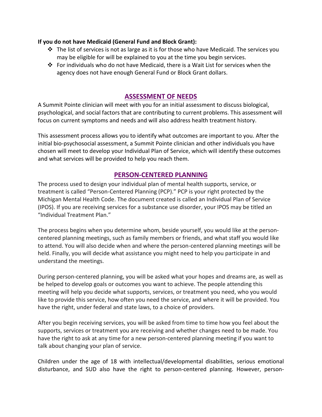#### **If you do not have Medicaid (General Fund and Block Grant):**

- $\div$  The list of services is not as large as it is for those who have Medicaid. The services you may be eligible for will be explained to you at the time you begin services.
- For individuals who do not have Medicaid, there is a Wait List for services when the agency does not have enough General Fund or Block Grant dollars.

# **ASSESSMENT OF NEEDS**

A Summit Pointe clinician will meet with you for an initial assessment to discuss biological, psychological, and social factors that are contributing to current problems. This assessment will focus on current symptoms and needs and will also address health treatment history.

This assessment process allows you to identify what outcomes are important to you. After the initial bio-psychosocial assessment, a Summit Pointe clinician and other individuals you have chosen will meet to develop your Individual Plan of Service, which will identify these outcomes and what services will be provided to help you reach them.

# **PERSON-CENTERED PLANNING**

The process used to design your individual plan of mental health supports, service, or treatment is called "Person-Centered Planning (PCP)." PCP is your right protected by the Michigan Mental Health Code. The document created is called an Individual Plan of Service (IPOS). If you are receiving services for a substance use disorder, your IPOS may be titled an "Individual Treatment Plan."

The process begins when you determine whom, beside yourself, you would like at the personcentered planning meetings, such as family members or friends, and what staff you would like to attend. You will also decide when and where the person-centered planning meetings will be held. Finally, you will decide what assistance you might need to help you participate in and understand the meetings.

During person-centered planning, you will be asked what your hopes and dreams are, as well as be helped to develop goals or outcomes you want to achieve. The people attending this meeting will help you decide what supports, services, or treatment you need, who you would like to provide this service, how often you need the service, and where it will be provided. You have the right, under federal and state laws, to a choice of providers.

After you begin receiving services, you will be asked from time to time how you feel about the supports, services or treatment you are receiving and whether changes need to be made. You have the right to ask at any time for a new person-centered planning meeting if you want to talk about changing your plan of service.

Children under the age of 18 with intellectual/developmental disabilities, serious emotional disturbance, and SUD also have the right to person-centered planning. However, person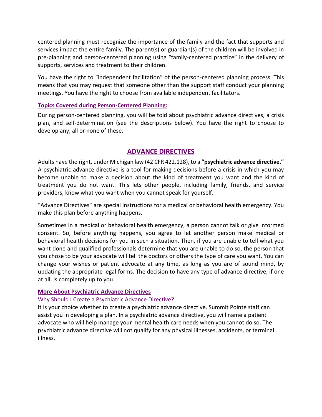centered planning must recognize the importance of the family and the fact that supports and services impact the entire family. The parent(s) or guardian(s) of the children will be involved in pre-planning and person-centered planning using "family-centered practice" in the delivery of supports, services and treatment to their children.

You have the right to "independent facilitation" of the person-centered planning process. This means that you may request that someone other than the support staff conduct your planning meetings. You have the right to choose from available independent facilitators.

#### **Topics Covered during Person-Centered Planning:**

During person-centered planning, you will be told about psychiatric advance directives, a crisis plan, and self-determination (see the descriptions below). You have the right to choose to develop any, all or none of these.

# **ADVANCE DIRECTIVES**

Adults have the right, under Michigan law (42 CFR 422.128), to a **"psychiatric advance directive."**  A psychiatric advance directive is a tool for making decisions before a crisis in which you may become unable to make a decision about the kind of treatment you want and the kind of treatment you do not want. This lets other people, including family, friends, and service providers, know what you want when you cannot speak for yourself.

"Advance Directives" are special instructions for a medical or behavioral health emergency. You make this plan before anything happens.

Sometimes in a medical or behavioral health emergency, a person cannot talk or give informed consent. So, before anything happens, you agree to let another person make medical or behavioral health decisions for you in such a situation. Then, if you are unable to tell what you want done and qualified professionals determine that you are unable to do so, the person that you chose to be your advocate will tell the doctors or others the type of care you want. You can change your wishes or patient advocate at any time, as long as you are of sound mind, by updating the appropriate legal forms. The decision to have any type of advance directive, if one at all, is completely up to you.

#### **More About Psychiatric Advance Directives**

## Why Should I Create a Psychiatric Advance Directive?

It is your choice whether to create a psychiatric advance directive. Summit Pointe staff can assist you in developing a plan. In a psychiatric advance directive, you will name a patient advocate who will help manage your mental health care needs when you cannot do so. The psychiatric advance directive will not qualify for any physical illnesses, accidents, or terminal illness.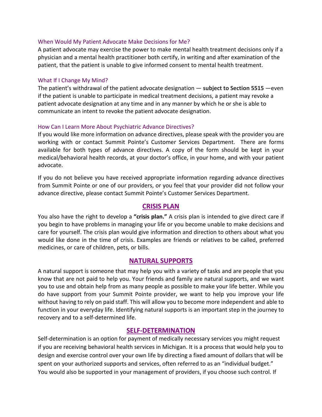#### When Would My Patient Advocate Make Decisions for Me?

A patient advocate may exercise the power to make mental health treatment decisions only if a physician and a mental health practitioner both certify, in writing and after examination of the patient, that the patient is unable to give informed consent to mental health treatment.

#### What If I Change My Mind?

The patient's withdrawal of the patient advocate designation — **subject to Section 5515** —even if the patient is unable to participate in medical treatment decisions, a patient may revoke a patient advocate designation at any time and in any manner by which he or she is able to communicate an intent to revoke the patient advocate designation.

#### How Can I Learn More About Psychiatric Advance Directives?

If you would like more information on advance directives, please speak with the provider you are working with or contact Summit Pointe's Customer Services Department. There are forms available for both types of advance directives. A copy of the form should be kept in your medical/behavioral health records, at your doctor's office, in your home, and with your patient advocate.

If you do not believe you have received appropriate information regarding advance directives from Summit Pointe or one of our providers, or you feel that your provider did not follow your advance directive, please contact Summit Pointe's Customer Services Department.

## **CRISIS PLAN**

You also have the right to develop a **"crisis plan."** A crisis plan is intended to give direct care if you begin to have problems in managing your life or you become unable to make decisions and care for yourself. The crisis plan would give information and direction to others about what you would like done in the time of crisis. Examples are friends or relatives to be called, preferred medicines, or care of children, pets, or bills.

## **NATURAL SUPPORTS**

A natural support is someone that may help you with a variety of tasks and are people that you know that are not paid to help you. Your friends and family are natural supports, and we want you to use and obtain help from as many people as possible to make your life better. While you do have support from your Summit Pointe provider, we want to help you improve your life without having to rely on paid staff. This will allow you to become more independent and able to function in your everyday life. Identifying natural supports is an important step in the journey to recovery and to a self-determined life.

#### **SELF-DETERMINATION**

Self-determination is an option for payment of medically necessary services you might request if you are receiving behavioral health services in Michigan. It is a process that would help you to design and exercise control over your own life by directing a fixed amount of dollars that will be spent on your authorized supports and services, often referred to as an "individual budget." You would also be supported in your management of providers, if you choose such control. If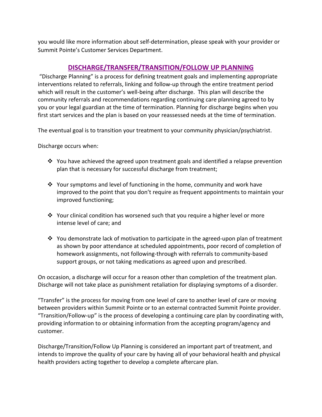you would like more information about self-determination, please speak with your provider or Summit Pointe's Customer Services Department.

# **DISCHARGE/TRANSFER/TRANSITION/FOLLOW UP PLANNING**

"Discharge Planning" is a process for defining treatment goals and implementing appropriate interventions related to referrals, linking and follow-up through the entire treatment period which will result in the customer's well-being after discharge. This plan will describe the community referrals and recommendations regarding continuing care planning agreed to by you or your legal guardian at the time of termination. Planning for discharge begins when you first start services and the plan is based on your reassessed needs at the time of termination.

The eventual goal is to transition your treatment to your community physician/psychiatrist.

Discharge occurs when:

- $\cdot$  You have achieved the agreed upon treatment goals and identified a relapse prevention plan that is necessary for successful discharge from treatment;
- $\cdot \cdot$  Your symptoms and level of functioning in the home, community and work have improved to the point that you don't require as frequent appointments to maintain your improved functioning;
- Your clinical condition has worsened such that you require a higher level or more intense level of care; and
- $\cdot \cdot$  You demonstrate lack of motivation to participate in the agreed-upon plan of treatment as shown by poor attendance at scheduled appointments, poor record of completion of homework assignments, not following-through with referrals to community-based support groups, or not taking medications as agreed upon and prescribed.

On occasion, a discharge will occur for a reason other than completion of the treatment plan. Discharge will not take place as punishment retaliation for displaying symptoms of a disorder.

"Transfer" is the process for moving from one level of care to another level of care or moving between providers within Summit Pointe or to an external contracted Summit Pointe provider. "Transition/Follow-up" is the process of developing a continuing care plan by coordinating with, providing information to or obtaining information from the accepting program/agency and customer.

Discharge/Transition/Follow Up Planning is considered an important part of treatment, and intends to improve the quality of your care by having all of your behavioral health and physical health providers acting together to develop a complete aftercare plan.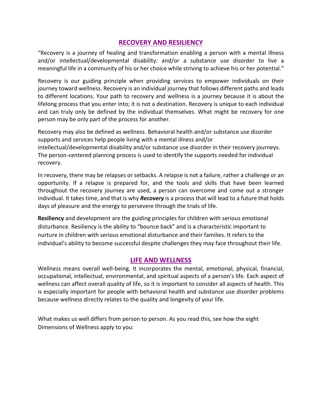# **RECOVERY AND RESILIENCY**

"Recovery is a journey of healing and transformation enabling a person with a mental illness and/or intellectual/developmental disability: and/or a substance use disorder to live a meaningful life in a community of his or her choice while striving to achieve his or her potential."

Recovery is our guiding principle when providing services to empower individuals on their journey toward wellness. Recovery is an individual journey that follows different paths and leads to different locations. Your path to recovery and wellness is a journey because it is about the lifelong process that you enter into; it is not a destination. Recovery is unique to each individual and can truly only be defined by the individual themselves. What might be recovery for one person may be only part of the process for another.

Recovery may also be defined as wellness. Behavioral health and/or substance use disorder supports and services help people living with a mental illness and/or

intellectual/developmental disability and/or substance use disorder in their recovery journeys. The person-centered planning process is used to identify the supports needed for individual recovery.

In recovery, there may be relapses or setbacks. A relapse is not a failure, rather a challenge or an opportunity. If a relapse is prepared for, and the tools and skills that have been learned throughout the recovery journey are used, a person can overcome and come out a stronger individual. It takes time, and that is why *Recovery* is a process that will lead to a future that holds days of pleasure and the energy to persevere through the trials of life.

**Resiliency** and development are the guiding principles for children with serious emotional disturbance. Resiliency is the ability to "bounce back" and is a characteristic important to nurture in children with serious emotional disturbance and their families. It refers to the individual's ability to become successful despite challenges they may face throughout their life.

## **LIFE AND WELLNESS**

Wellness means overall well-being. It incorporates the mental, emotional, physical, financial, occupational, intellectual, environmental, and spiritual aspects of a person's life. Each aspect of wellness can affect overall quality of life, so it is important to consider all aspects of health. This is especially important for people with behavioral health and substance use disorder problems because wellness directly relates to the quality and longevity of your life.

What makes us well differs from person to person. As you read this, see how the eight Dimensions of Wellness apply to you: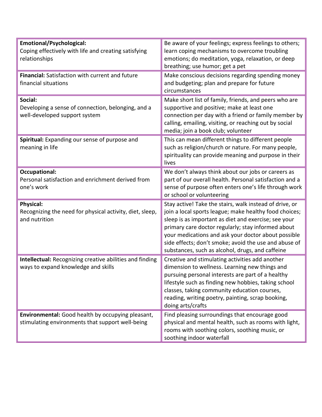| <b>Emotional/Psychological:</b><br>Coping effectively with life and creating satisfying<br>relationships | Be aware of your feelings; express feelings to others;<br>learn coping mechanisms to overcome troubling<br>emotions; do meditation, yoga, relaxation, or deep<br>breathing; use humor; get a pet                                                                                                                                                                                                    |  |
|----------------------------------------------------------------------------------------------------------|-----------------------------------------------------------------------------------------------------------------------------------------------------------------------------------------------------------------------------------------------------------------------------------------------------------------------------------------------------------------------------------------------------|--|
| Financial: Satisfaction with current and future<br>financial situations                                  | Make conscious decisions regarding spending money<br>and budgeting; plan and prepare for future<br>circumstances                                                                                                                                                                                                                                                                                    |  |
| Social:<br>Developing a sense of connection, belonging, and a<br>well-developed support system           | Make short list of family, friends, and peers who are<br>supportive and positive; make at least one<br>connection per day with a friend or family member by<br>calling, emailing, visiting, or reaching out by social<br>media; join a book club; volunteer                                                                                                                                         |  |
| Spiritual: Expanding our sense of purpose and<br>meaning in life                                         | This can mean different things to different people<br>such as religion/church or nature. For many people,<br>spirituality can provide meaning and purpose in their<br>lives                                                                                                                                                                                                                         |  |
| <b>Occupational:</b><br>Personal satisfaction and enrichment derived from<br>one's work                  | We don't always think about our jobs or careers as<br>part of our overall health. Personal satisfaction and a<br>sense of purpose often enters one's life through work<br>or school or volunteering                                                                                                                                                                                                 |  |
| <b>Physical:</b><br>Recognizing the need for physical activity, diet, sleep,<br>and nutrition            | Stay active! Take the stairs, walk instead of drive, or<br>join a local sports league; make healthy food choices;<br>sleep is as important as diet and exercise; see your<br>primary care doctor regularly; stay informed about<br>your medications and ask your doctor about possible<br>side effects; don't smoke; avoid the use and abuse of<br>substances, such as alcohol, drugs, and caffeine |  |
| Intellectual: Recognizing creative abilities and finding<br>ways to expand knowledge and skills          | Creative and stimulating activities add another<br>dimension to wellness. Learning new things and<br>pursuing personal interests are part of a healthy<br>lifestyle such as finding new hobbies, taking school<br>classes, taking community education courses,<br>reading, writing poetry, painting, scrap booking,<br>doing arts/crafts                                                            |  |
| Environmental: Good health by occupying pleasant,<br>stimulating environments that support well-being    | Find pleasing surroundings that encourage good<br>physical and mental health, such as rooms with light,<br>rooms with soothing colors, soothing music, or<br>soothing indoor waterfall                                                                                                                                                                                                              |  |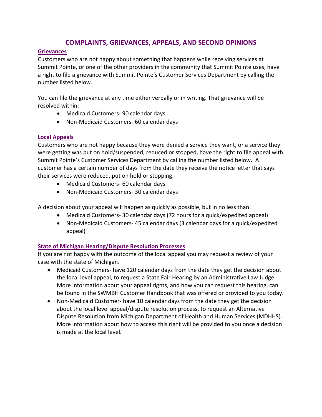# **COMPLAINTS, GRIEVANCES, APPEALS, AND SECOND OPINIONS**

## **Grievances**

Customers who are not happy about something that happens while receiving services at Summit Pointe, or one of the other providers in the community that Summit Pointe uses, have a right to file a grievance with Summit Pointe's Customer Services Department by calling the number listed below.

You can file the grievance at any time either verbally or in writing. That grievance will be resolved within:

- Medicaid Customers- 90 calendar days
- Non-Medicaid Customers- 60 calendar days

## **Local Appeals**

Customers who are not happy because they were denied a service they want, or a service they were getting was put on hold/suspended, reduced or stopped, have the right to file appeal with Summit Pointe's Customer Services Department by calling the number listed below*.* A customer has a certain number of days from the date they receive the notice letter that says their services were reduced, put on hold or stopping.

- Medicaid Customers- 60 calendar days
- Non-Medicaid Customers- 30 calendar days

A decision about your appeal will happen as quickly as possible, but in no less than:

- Medicaid Customers- 30 calendar days (72 hours for a quick/expedited appeal)
- Non-Medicaid Customers- 45 calendar days (3 calendar days for a quick/expedited appeal)

# **State of Michigan Hearing/Dispute Resolution Processes**

If you are not happy with the outcome of the local appeal you may request a review of your case with the state of Michigan.

- Medicaid Customers- have 120 calendar days from the date they get the decision about the local level appeal, to request a State Fair Hearing by an Administrative Law Judge. More information about your appeal rights, and how you can request this hearing, can be found in the SWMBH Customer Handbook that was offered or provided to you today.
- Non-Medicaid Customer- have 10 calendar days from the date they get the decision about the local level appeal/dispute resolution process, to request an Alternative Dispute Resolution from Michigan Department of Health and Human Services (MDHHS). More information about how to access this right will be provided to you once a decision is made at the local level.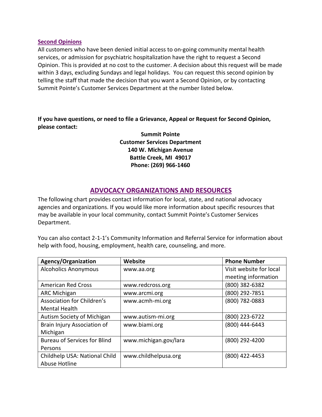#### **Second Opinions**

All customers who have been denied initial access to on-going community mental health services, or admission for psychiatric hospitalization have the right to request a Second Opinion. This is provided at no cost to the customer. A decision about this request will be made within 3 days, excluding Sundays and legal holidays. You can request this second opinion by telling the staff that made the decision that you want a Second Opinion, or by contacting Summit Pointe's Customer Services Department at the number listed below.

**If you have questions, or need to file a Grievance, Appeal or Request for Second Opinion, please contact:** 

> **Summit Pointe Customer Services Department 140 W. Michigan Avenue Battle Creek, MI 49017 Phone: (269) 966-1460**

# **ADVOCACY ORGANIZATIONS AND RESOURCES**

The following chart provides contact information for local, state, and national advocacy agencies and organizations. If you would like more information about specific resources that may be available in your local community, contact Summit Pointe's Customer Services Department.

You can also contact 2-1-1's Community Information and Referral Service for information about help with food, housing, employment, health care, counseling, and more.

| Agency/Organization                 | Website               | <b>Phone Number</b>     |
|-------------------------------------|-----------------------|-------------------------|
| <b>Alcoholics Anonymous</b>         | www.aa.org            | Visit website for local |
|                                     |                       | meeting information     |
| <b>American Red Cross</b>           | www.redcross.org      | (800) 382-6382          |
| <b>ARC Michigan</b>                 | www.arcmi.org         | (800) 292-7851          |
| <b>Association for Children's</b>   | www.acmh-mi.org       | (800) 782-0883          |
| <b>Mental Health</b>                |                       |                         |
| Autism Society of Michigan          | www.autism-mi.org     | (800) 223-6722          |
| Brain Injury Association of         | www.biami.org         | (800) 444-6443          |
| Michigan                            |                       |                         |
| <b>Bureau of Services for Blind</b> | www.michigan.gov/lara | (800) 292-4200          |
| Persons                             |                       |                         |
| Childhelp USA: National Child       | www.childhelpusa.org  | (800) 422-4453          |
| Abuse Hotline                       |                       |                         |